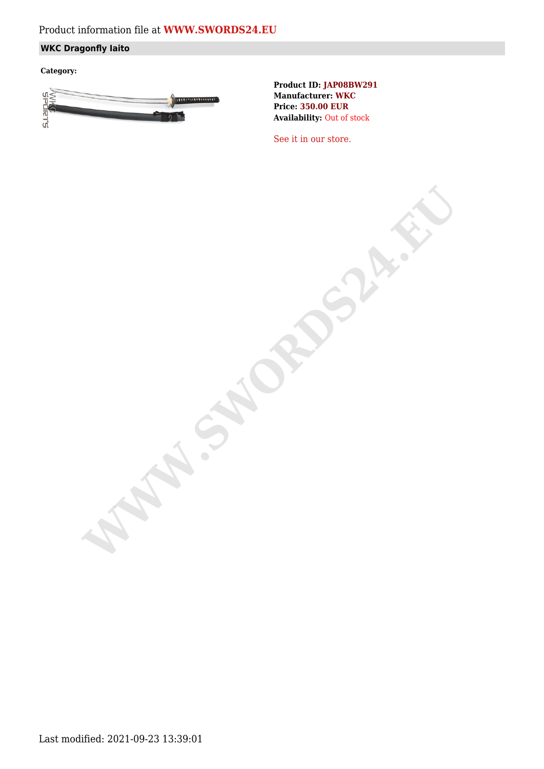# Product information file at **[WWW.SWORDS24.EU](https://www.swords24.eu)**

## **WKC Dragonfly Iaito**

**Category:**



**Product ID: JAP08BW291 Manufacturer: WKC Price: 350.00 EUR Availability:** Out of stock

[See it in our store.](https://www.swords24.eu/product/description/1124/WKC-Dragonfly-Iaito-JAP08BW302.html)

**WARDSHIP**